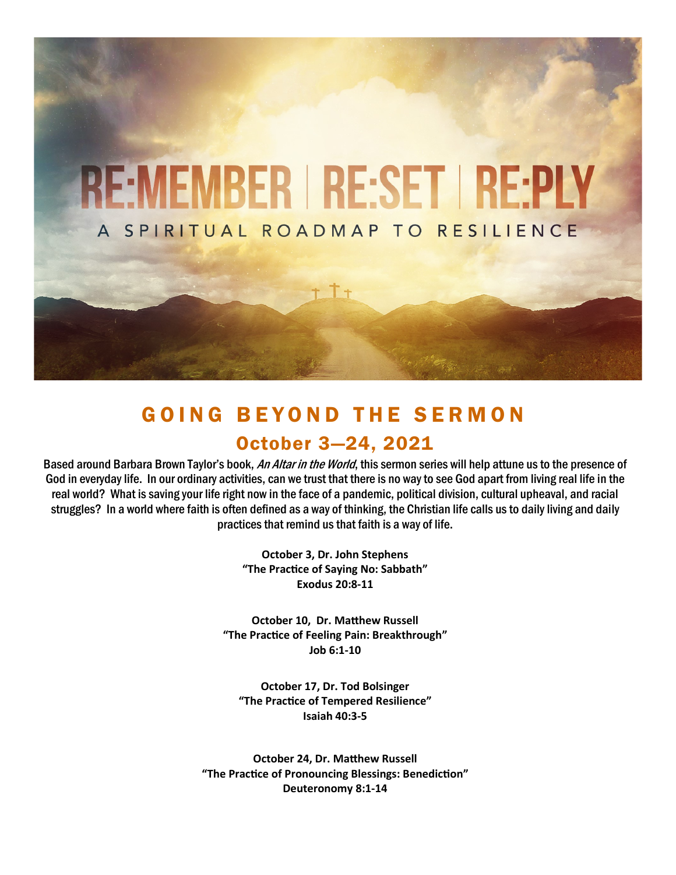

# GOING BEYOND THE SERMON October 3—24, 2021

Based around Barbara Brown Taylor's book, An Altar in the World, this sermon series will help attune us to the presence of God in everyday life. In our ordinary activities, can we trust that there is no way to see God apart from living real life in the real world? What is saving your life right now in the face of a pandemic, political division, cultural upheaval, and racial struggles? In a world where faith is often defined as a way of thinking, the Christian life calls us to daily living and daily practices that remind us that faith is a way of life.

> **October 3, Dr. John Stephens "The Practice of Saying No: Sabbath" Exodus 20:8-11**

**October 10, Dr. Matthew Russell "The Practice of Feeling Pain: Breakthrough" Job 6:1-10**

**October 17, Dr. Tod Bolsinger "The Practice of Tempered Resilience" Isaiah 40:3-5**

**October 24, Dr. Matthew Russell "The Practice of Pronouncing Blessings: Benediction" Deuteronomy 8:1-14**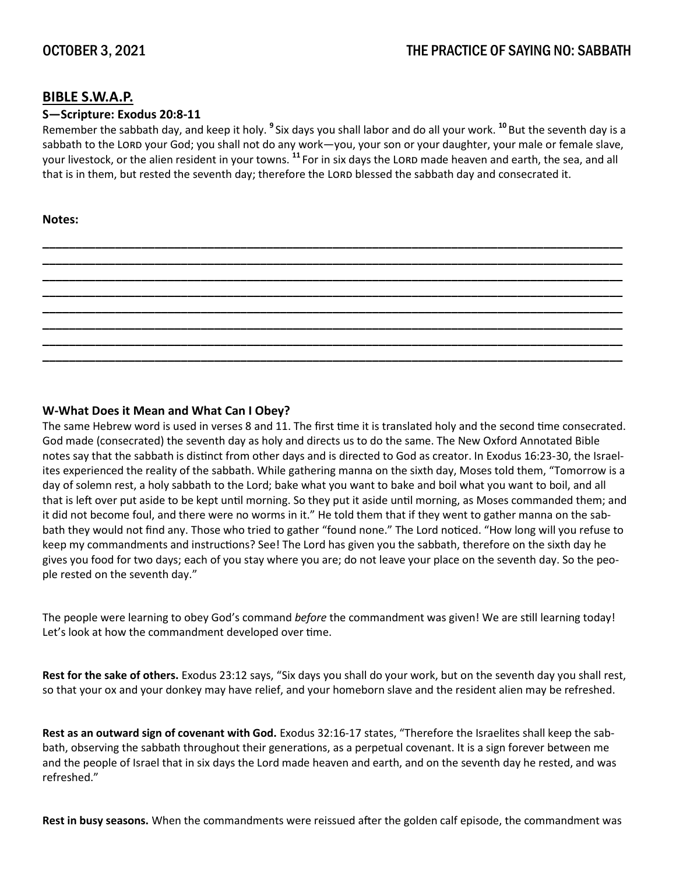### **BIBLE S.W.A.P.**

#### **S—Scripture: Exodus 20:8-11**

Remember the sabbath day, and keep it holy. **<sup>9</sup>** Six days you shall labor and do all your work. **<sup>10</sup>** But the seventh day is a sabbath to the LORD your God; you shall not do any work—you, your son or your daughter, your male or female slave, your livestock, or the alien resident in your towns. <sup>11</sup> For in six days the LORD made heaven and earth, the sea, and all that is in them, but rested the seventh day; therefore the LORD blessed the sabbath day and consecrated it.

**\_\_\_\_\_\_\_\_\_\_\_\_\_\_\_\_\_\_\_\_\_\_\_\_\_\_\_\_\_\_\_\_\_\_\_\_\_\_\_\_\_\_\_\_\_\_\_\_\_\_\_\_\_\_\_\_\_\_\_\_\_\_\_\_\_\_\_\_\_\_\_\_\_\_\_\_\_\_\_\_\_\_\_\_\_\_\_\_ \_\_\_\_\_\_\_\_\_\_\_\_\_\_\_\_\_\_\_\_\_\_\_\_\_\_\_\_\_\_\_\_\_\_\_\_\_\_\_\_\_\_\_\_\_\_\_\_\_\_\_\_\_\_\_\_\_\_\_\_\_\_\_\_\_\_\_\_\_\_\_\_\_\_\_\_\_\_\_\_\_\_\_\_\_\_\_\_ \_\_\_\_\_\_\_\_\_\_\_\_\_\_\_\_\_\_\_\_\_\_\_\_\_\_\_\_\_\_\_\_\_\_\_\_\_\_\_\_\_\_\_\_\_\_\_\_\_\_\_\_\_\_\_\_\_\_\_\_\_\_\_\_\_\_\_\_\_\_\_\_\_\_\_\_\_\_\_\_\_\_\_\_\_\_\_\_ \_\_\_\_\_\_\_\_\_\_\_\_\_\_\_\_\_\_\_\_\_\_\_\_\_\_\_\_\_\_\_\_\_\_\_\_\_\_\_\_\_\_\_\_\_\_\_\_\_\_\_\_\_\_\_\_\_\_\_\_\_\_\_\_\_\_\_\_\_\_\_\_\_\_\_\_\_\_\_\_\_\_\_\_\_\_\_\_ \_\_\_\_\_\_\_\_\_\_\_\_\_\_\_\_\_\_\_\_\_\_\_\_\_\_\_\_\_\_\_\_\_\_\_\_\_\_\_\_\_\_\_\_\_\_\_\_\_\_\_\_\_\_\_\_\_\_\_\_\_\_\_\_\_\_\_\_\_\_\_\_\_\_\_\_\_\_\_\_\_\_\_\_\_\_\_\_ \_\_\_\_\_\_\_\_\_\_\_\_\_\_\_\_\_\_\_\_\_\_\_\_\_\_\_\_\_\_\_\_\_\_\_\_\_\_\_\_\_\_\_\_\_\_\_\_\_\_\_\_\_\_\_\_\_\_\_\_\_\_\_\_\_\_\_\_\_\_\_\_\_\_\_\_\_\_\_\_\_\_\_\_\_\_\_\_ \_\_\_\_\_\_\_\_\_\_\_\_\_\_\_\_\_\_\_\_\_\_\_\_\_\_\_\_\_\_\_\_\_\_\_\_\_\_\_\_\_\_\_\_\_\_\_\_\_\_\_\_\_\_\_\_\_\_\_\_\_\_\_\_\_\_\_\_\_\_\_\_\_\_\_\_\_\_\_\_\_\_\_\_\_\_\_\_ \_\_\_\_\_\_\_\_\_\_\_\_\_\_\_\_\_\_\_\_\_\_\_\_\_\_\_\_\_\_\_\_\_\_\_\_\_\_\_\_\_\_\_\_\_\_\_\_\_\_\_\_\_\_\_\_\_\_\_\_\_\_\_\_\_\_\_\_\_\_\_\_\_\_\_\_\_\_\_\_\_\_\_\_\_\_\_\_**

#### **Notes:**

### **W-What Does it Mean and What Can I Obey?**

The same Hebrew word is used in verses 8 and 11. The first time it is translated holy and the second time consecrated. God made (consecrated) the seventh day as holy and directs us to do the same. The New Oxford Annotated Bible notes say that the sabbath is distinct from other days and is directed to God as creator. In Exodus 16:23-30, the Israelites experienced the reality of the sabbath. While gathering manna on the sixth day, Moses told them, "Tomorrow is a day of solemn rest, a holy sabbath to the Lord; bake what you want to bake and boil what you want to boil, and all that is left over put aside to be kept until morning. So they put it aside until morning, as Moses commanded them; and it did not become foul, and there were no worms in it." He told them that if they went to gather manna on the sabbath they would not find any. Those who tried to gather "found none." The Lord noticed. "How long will you refuse to keep my commandments and instructions? See! The Lord has given you the sabbath, therefore on the sixth day he gives you food for two days; each of you stay where you are; do not leave your place on the seventh day. So the people rested on the seventh day."

The people were learning to obey God's command *before* the commandment was given! We are still learning today! Let's look at how the commandment developed over time.

**Rest for the sake of others.** Exodus 23:12 says, "Six days you shall do your work, but on the seventh day you shall rest, so that your ox and your donkey may have relief, and your homeborn slave and the resident alien may be refreshed.

**Rest as an outward sign of covenant with God.** Exodus 32:16-17 states, "Therefore the Israelites shall keep the sabbath, observing the sabbath throughout their generations, as a perpetual covenant. It is a sign forever between me and the people of Israel that in six days the Lord made heaven and earth, and on the seventh day he rested, and was refreshed."

**Rest in busy seasons.** When the commandments were reissued after the golden calf episode, the commandment was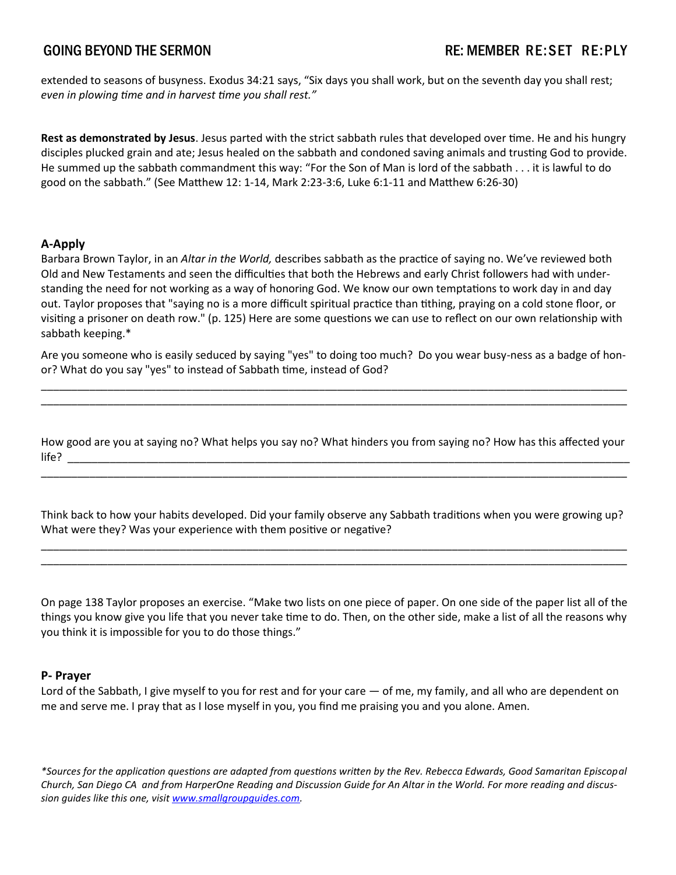extended to seasons of busyness. Exodus 34:21 says, "Six days you shall work, but on the seventh day you shall rest; *even in plowing time and in harvest time you shall rest."*

**Rest as demonstrated by Jesus**. Jesus parted with the strict sabbath rules that developed over time. He and his hungry disciples plucked grain and ate; Jesus healed on the sabbath and condoned saving animals and trusting God to provide. He summed up the sabbath commandment this way: "For the Son of Man is lord of the sabbath . . . it is lawful to do good on the sabbath." (See Matthew 12: 1-14, Mark 2:23-3:6, Luke 6:1-11 and Matthew 6:26-30)

### **A-Apply**

Barbara Brown Taylor, in an *Altar in the World,* describes sabbath as the practice of saying no. We've reviewed both Old and New Testaments and seen the difficulties that both the Hebrews and early Christ followers had with understanding the need for not working as a way of honoring God. We know our own temptations to work day in and day out. Taylor proposes that "saying no is a more difficult spiritual practice than tithing, praying on a cold stone floor, or visiting a prisoner on death row." (p. 125) Here are some questions we can use to reflect on our own relationship with sabbath keeping.\*

Are you someone who is easily seduced by saying "yes" to doing too much? Do you wear busy-ness as a badge of honor? What do you say "yes" to instead of Sabbath time, instead of God?

\_\_\_\_\_\_\_\_\_\_\_\_\_\_\_\_\_\_\_\_\_\_\_\_\_\_\_\_\_\_\_\_\_\_\_\_\_\_\_\_\_\_\_\_\_\_\_\_\_\_\_\_\_\_\_\_\_\_\_\_\_\_\_\_\_\_\_\_\_\_\_\_\_\_\_\_\_\_\_\_\_\_\_\_\_\_\_\_\_\_\_\_\_\_\_\_\_ \_\_\_\_\_\_\_\_\_\_\_\_\_\_\_\_\_\_\_\_\_\_\_\_\_\_\_\_\_\_\_\_\_\_\_\_\_\_\_\_\_\_\_\_\_\_\_\_\_\_\_\_\_\_\_\_\_\_\_\_\_\_\_\_\_\_\_\_\_\_\_\_\_\_\_\_\_\_\_\_\_\_\_\_\_\_\_\_\_\_\_\_\_\_\_\_\_

How good are you at saying no? What helps you say no? What hinders you from saying no? How has this affected your  $\blacksquare$  life?

\_\_\_\_\_\_\_\_\_\_\_\_\_\_\_\_\_\_\_\_\_\_\_\_\_\_\_\_\_\_\_\_\_\_\_\_\_\_\_\_\_\_\_\_\_\_\_\_\_\_\_\_\_\_\_\_\_\_\_\_\_\_\_\_\_\_\_\_\_\_\_\_\_\_\_\_\_\_\_\_\_\_\_\_\_\_\_\_\_\_\_\_\_\_\_\_\_

Think back to how your habits developed. Did your family observe any Sabbath traditions when you were growing up? What were they? Was your experience with them positive or negative?

\_\_\_\_\_\_\_\_\_\_\_\_\_\_\_\_\_\_\_\_\_\_\_\_\_\_\_\_\_\_\_\_\_\_\_\_\_\_\_\_\_\_\_\_\_\_\_\_\_\_\_\_\_\_\_\_\_\_\_\_\_\_\_\_\_\_\_\_\_\_\_\_\_\_\_\_\_\_\_\_\_\_\_\_\_\_\_\_\_\_\_\_\_\_\_\_\_ \_\_\_\_\_\_\_\_\_\_\_\_\_\_\_\_\_\_\_\_\_\_\_\_\_\_\_\_\_\_\_\_\_\_\_\_\_\_\_\_\_\_\_\_\_\_\_\_\_\_\_\_\_\_\_\_\_\_\_\_\_\_\_\_\_\_\_\_\_\_\_\_\_\_\_\_\_\_\_\_\_\_\_\_\_\_\_\_\_\_\_\_\_\_\_\_\_

On page 138 Taylor proposes an exercise. "Make two lists on one piece of paper. On one side of the paper list all of the things you know give you life that you never take time to do. Then, on the other side, make a list of all the reasons why you think it is impossible for you to do those things."

#### **P- Prayer**

Lord of the Sabbath, I give myself to you for rest and for your care — of me, my family, and all who are dependent on me and serve me. I pray that as I lose myself in you, you find me praising you and you alone. Amen.

*\*Sources for the application questions are adapted from questions written by the Rev. Rebecca Edwards, Good Samaritan Episcopal Church, San Diego CA and from HarperOne Reading and Discussion Guide for An Altar in the World. For more reading and discussion guides like this one, visit [www.smallgroupguides.com.](http://www.smallgroupguides.com)*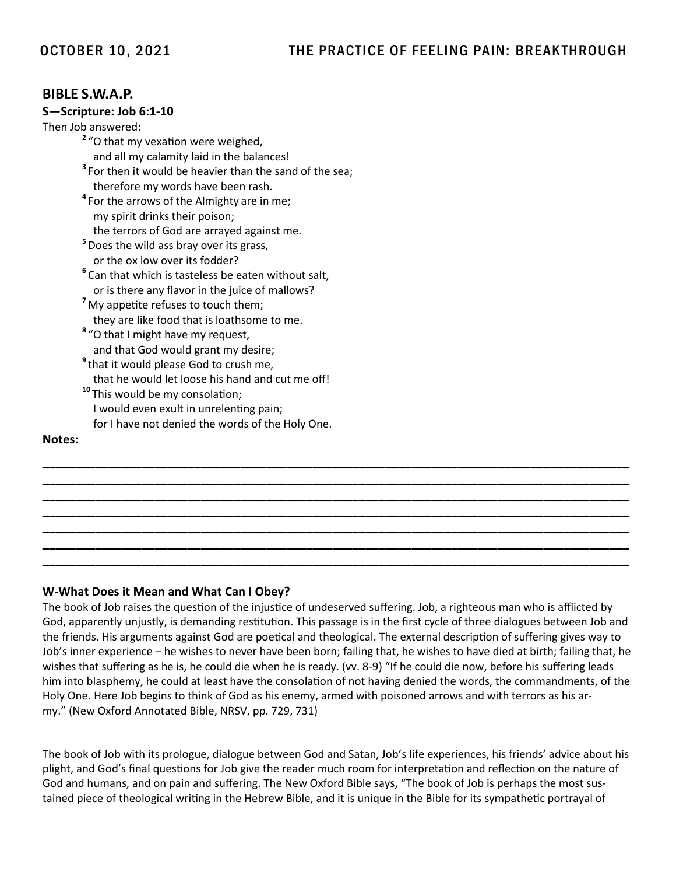### **BIBLE S.W.A.P.**

#### **S—Scripture: Job 6:1-10**

Then Job answered:

**2** "O that my vexation were weighed, and all my calamity laid in the balances! **3** For then it would be heavier than the sand of the sea; therefore my words have been rash. **4** For the arrows of the Almighty are in me; my spirit drinks their poison; the terrors of God are arrayed against me. **5** Does the wild ass bray over its grass, or the ox low over its fodder? **6** Can that which is tasteless be eaten without salt, or is there any flavor in the juice of mallows? **<sup>7</sup>** My appetite refuses to touch them; they are like food that is loathsome to me. **8** "O that I might have my request, and that God would grant my desire; **9** that it would please God to crush me, that he would let loose his hand and cut me off! **<sup>10</sup>** This would be my consolation; I would even exult in unrelenting pain; for I have not denied the words of the Holy One.

#### **Notes:**

#### **W-What Does it Mean and What Can I Obey?**

The book of Job raises the question of the injustice of undeserved suffering. Job, a righteous man who is afflicted by God, apparently unjustly, is demanding restitution. This passage is in the first cycle of three dialogues between Job and the friends. His arguments against God are poetical and theological. The external description of suffering gives way to Job's inner experience – he wishes to never have been born; failing that, he wishes to have died at birth; failing that, he wishes that suffering as he is, he could die when he is ready. (vv. 8-9) "If he could die now, before his suffering leads him into blasphemy, he could at least have the consolation of not having denied the words, the commandments, of the Holy One. Here Job begins to think of God as his enemy, armed with poisoned arrows and with terrors as his army." (New Oxford Annotated Bible, NRSV, pp. 729, 731)

**\_\_\_\_\_\_\_\_\_\_\_\_\_\_\_\_\_\_\_\_\_\_\_\_\_\_\_\_\_\_\_\_\_\_\_\_\_\_\_\_\_\_\_\_\_\_\_\_\_\_\_\_\_\_\_\_\_\_\_\_\_\_\_\_\_\_\_\_\_\_\_\_\_\_\_\_\_\_\_\_\_\_\_\_\_\_\_\_\_ \_\_\_\_\_\_\_\_\_\_\_\_\_\_\_\_\_\_\_\_\_\_\_\_\_\_\_\_\_\_\_\_\_\_\_\_\_\_\_\_\_\_\_\_\_\_\_\_\_\_\_\_\_\_\_\_\_\_\_\_\_\_\_\_\_\_\_\_\_\_\_\_\_\_\_\_\_\_\_\_\_\_\_\_\_\_\_\_\_ \_\_\_\_\_\_\_\_\_\_\_\_\_\_\_\_\_\_\_\_\_\_\_\_\_\_\_\_\_\_\_\_\_\_\_\_\_\_\_\_\_\_\_\_\_\_\_\_\_\_\_\_\_\_\_\_\_\_\_\_\_\_\_\_\_\_\_\_\_\_\_\_\_\_\_\_\_\_\_\_\_\_\_\_\_\_\_\_\_ \_\_\_\_\_\_\_\_\_\_\_\_\_\_\_\_\_\_\_\_\_\_\_\_\_\_\_\_\_\_\_\_\_\_\_\_\_\_\_\_\_\_\_\_\_\_\_\_\_\_\_\_\_\_\_\_\_\_\_\_\_\_\_\_\_\_\_\_\_\_\_\_\_\_\_\_\_\_\_\_\_\_\_\_\_\_\_\_\_ \_\_\_\_\_\_\_\_\_\_\_\_\_\_\_\_\_\_\_\_\_\_\_\_\_\_\_\_\_\_\_\_\_\_\_\_\_\_\_\_\_\_\_\_\_\_\_\_\_\_\_\_\_\_\_\_\_\_\_\_\_\_\_\_\_\_\_\_\_\_\_\_\_\_\_\_\_\_\_\_\_\_\_\_\_\_\_\_\_ \_\_\_\_\_\_\_\_\_\_\_\_\_\_\_\_\_\_\_\_\_\_\_\_\_\_\_\_\_\_\_\_\_\_\_\_\_\_\_\_\_\_\_\_\_\_\_\_\_\_\_\_\_\_\_\_\_\_\_\_\_\_\_\_\_\_\_\_\_\_\_\_\_\_\_\_\_\_\_\_\_\_\_\_\_\_\_\_\_ \_\_\_\_\_\_\_\_\_\_\_\_\_\_\_\_\_\_\_\_\_\_\_\_\_\_\_\_\_\_\_\_\_\_\_\_\_\_\_\_\_\_\_\_\_\_\_\_\_\_\_\_\_\_\_\_\_\_\_\_\_\_\_\_\_\_\_\_\_\_\_\_\_\_\_\_\_\_\_\_\_\_\_\_\_\_\_\_\_**

The book of Job with its prologue, dialogue between God and Satan, Job's life experiences, his friends' advice about his plight, and God's final questions for Job give the reader much room for interpretation and reflection on the nature of God and humans, and on pain and suffering. The New Oxford Bible says, "The book of Job is perhaps the most sustained piece of theological writing in the Hebrew Bible, and it is unique in the Bible for its sympathetic portrayal of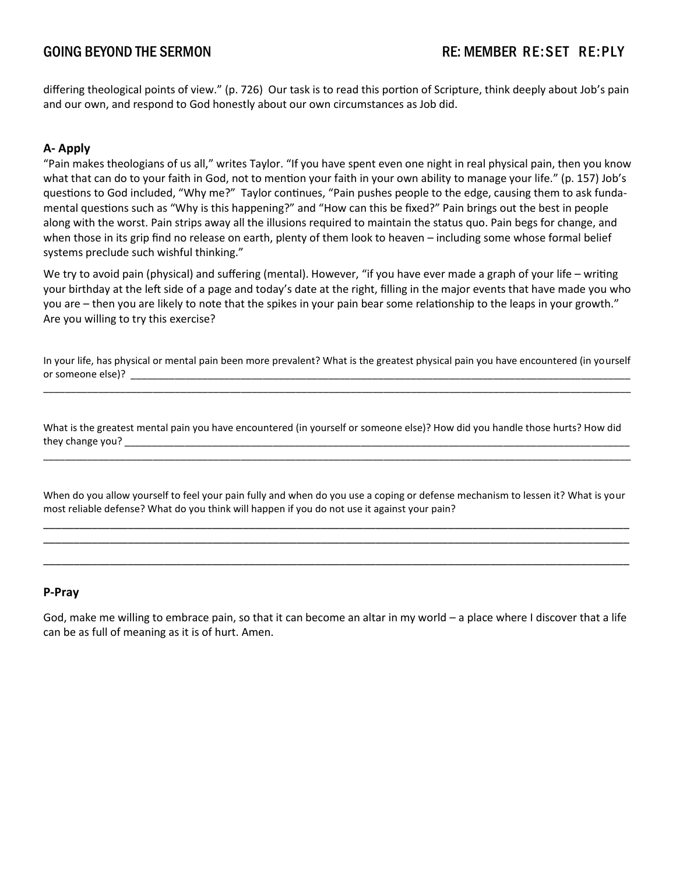differing theological points of view." (p. 726) Our task is to read this portion of Scripture, think deeply about Job's pain and our own, and respond to God honestly about our own circumstances as Job did.

### **A- Apply**

"Pain makes theologians of us all," writes Taylor. "If you have spent even one night in real physical pain, then you know what that can do to your faith in God, not to mention your faith in your own ability to manage your life." (p. 157) Job's questions to God included, "Why me?" Taylor continues, "Pain pushes people to the edge, causing them to ask fundamental questions such as "Why is this happening?" and "How can this be fixed?" Pain brings out the best in people along with the worst. Pain strips away all the illusions required to maintain the status quo. Pain begs for change, and when those in its grip find no release on earth, plenty of them look to heaven – including some whose formal belief systems preclude such wishful thinking."

We try to avoid pain (physical) and suffering (mental). However, "if you have ever made a graph of your life – writing your birthday at the left side of a page and today's date at the right, filling in the major events that have made you who you are – then you are likely to note that the spikes in your pain bear some relationship to the leaps in your growth." Are you willing to try this exercise?

In your life, has physical or mental pain been more prevalent? What is the greatest physical pain you have encountered (in yourself or someone else)?  $\overline{\phantom{a}}$   $\overline{\phantom{a}}$ \_\_\_\_\_\_\_\_\_\_\_\_\_\_\_\_\_\_\_\_\_\_\_\_\_\_\_\_\_\_\_\_\_\_\_\_\_\_\_\_\_\_\_\_\_\_\_\_\_\_\_\_\_\_\_\_\_\_\_\_\_\_\_\_\_\_\_\_\_\_\_\_\_\_\_\_\_\_\_\_\_\_\_\_\_\_\_\_\_\_\_\_\_\_\_\_\_\_\_\_\_\_\_\_\_\_\_

What is the greatest mental pain you have encountered (in yourself or someone else)? How did you handle those hurts? How did they change you? \_\_\_\_\_\_\_\_\_\_\_\_\_\_\_\_\_\_\_\_\_\_\_\_\_\_\_\_\_\_\_\_\_\_\_\_\_\_\_\_\_\_\_\_\_\_\_\_\_\_\_\_\_\_\_\_\_\_\_\_\_\_\_\_\_\_\_\_\_\_\_\_\_\_\_\_\_\_\_\_\_\_\_\_\_\_\_\_\_\_\_\_

\_\_\_\_\_\_\_\_\_\_\_\_\_\_\_\_\_\_\_\_\_\_\_\_\_\_\_\_\_\_\_\_\_\_\_\_\_\_\_\_\_\_\_\_\_\_\_\_\_\_\_\_\_\_\_\_\_\_\_\_\_\_\_\_\_\_\_\_\_\_\_\_\_\_\_\_\_\_\_\_\_\_\_\_\_\_\_\_\_\_\_\_\_\_\_\_\_\_\_\_\_\_\_\_\_\_\_

When do you allow yourself to feel your pain fully and when do you use a coping or defense mechanism to lessen it? What is your most reliable defense? What do you think will happen if you do not use it against your pain? \_\_\_\_\_\_\_\_\_\_\_\_\_\_\_\_\_\_\_\_\_\_\_\_\_\_\_\_\_\_\_\_\_\_\_\_\_\_\_\_\_\_\_\_\_\_\_\_\_\_\_\_\_\_\_\_\_\_\_\_\_\_\_\_\_\_\_\_\_\_\_\_\_\_\_\_\_\_\_\_\_\_\_\_\_\_\_\_\_\_\_\_\_\_\_\_\_

\_\_\_\_\_\_\_\_\_\_\_\_\_\_\_\_\_\_\_\_\_\_\_\_\_\_\_\_\_\_\_\_\_\_\_\_\_\_\_\_\_\_\_\_\_\_\_\_\_\_\_\_\_\_\_\_\_\_\_\_\_\_\_\_\_\_\_\_\_\_\_\_\_\_\_\_\_\_\_\_\_\_\_\_\_\_\_\_\_\_\_\_\_\_\_\_\_ \_\_\_\_\_\_\_\_\_\_\_\_\_\_\_\_\_\_\_\_\_\_\_\_\_\_\_\_\_\_\_\_\_\_\_\_\_\_\_\_\_\_\_\_\_\_\_\_\_\_\_\_\_\_\_\_\_\_\_\_\_\_\_\_\_\_\_\_\_\_\_\_\_\_\_\_\_\_\_\_\_\_\_\_\_\_\_\_\_\_\_\_\_\_\_\_\_

#### **P-Pray**

God, make me willing to embrace pain, so that it can become an altar in my world – a place where I discover that a life can be as full of meaning as it is of hurt. Amen.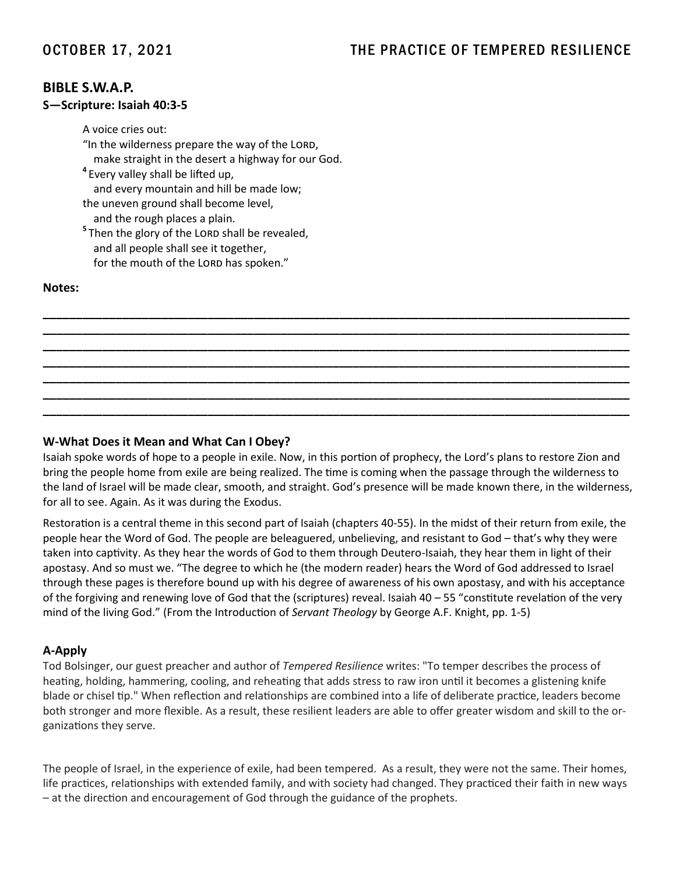## OCTOBER 17, 2021 THE PRACTICE OF TEMPERED RESILIENCE

### **BIBLE S.W.A.P.**

#### **S—Scripture: Isaiah 40:3-5**

A voice cries out: "In the wilderness prepare the way of the LORD, make straight in the desert a highway for our God. **4** Every valley shall be lifted up, and every mountain and hill be made low; the uneven ground shall become level, and the rough places a plain. <sup>5</sup> Then the glory of the LORD shall be revealed,

 and all people shall see it together, for the mouth of the LORD has spoken."

#### **Notes:**

#### **W-What Does it Mean and What Can I Obey?**

Isaiah spoke words of hope to a people in exile. Now, in this portion of prophecy, the Lord's plans to restore Zion and bring the people home from exile are being realized. The time is coming when the passage through the wilderness to the land of Israel will be made clear, smooth, and straight. God's presence will be made known there, in the wilderness, for all to see. Again. As it was during the Exodus.

**\_\_\_\_\_\_\_\_\_\_\_\_\_\_\_\_\_\_\_\_\_\_\_\_\_\_\_\_\_\_\_\_\_\_\_\_\_\_\_\_\_\_\_\_\_\_\_\_\_\_\_\_\_\_\_\_\_\_\_\_\_\_\_\_\_\_\_\_\_\_\_\_\_\_\_\_\_\_\_\_\_\_\_\_\_\_\_\_\_ \_\_\_\_\_\_\_\_\_\_\_\_\_\_\_\_\_\_\_\_\_\_\_\_\_\_\_\_\_\_\_\_\_\_\_\_\_\_\_\_\_\_\_\_\_\_\_\_\_\_\_\_\_\_\_\_\_\_\_\_\_\_\_\_\_\_\_\_\_\_\_\_\_\_\_\_\_\_\_\_\_\_\_\_\_\_\_\_\_ \_\_\_\_\_\_\_\_\_\_\_\_\_\_\_\_\_\_\_\_\_\_\_\_\_\_\_\_\_\_\_\_\_\_\_\_\_\_\_\_\_\_\_\_\_\_\_\_\_\_\_\_\_\_\_\_\_\_\_\_\_\_\_\_\_\_\_\_\_\_\_\_\_\_\_\_\_\_\_\_\_\_\_\_\_\_\_\_\_ \_\_\_\_\_\_\_\_\_\_\_\_\_\_\_\_\_\_\_\_\_\_\_\_\_\_\_\_\_\_\_\_\_\_\_\_\_\_\_\_\_\_\_\_\_\_\_\_\_\_\_\_\_\_\_\_\_\_\_\_\_\_\_\_\_\_\_\_\_\_\_\_\_\_\_\_\_\_\_\_\_\_\_\_\_\_\_\_\_ \_\_\_\_\_\_\_\_\_\_\_\_\_\_\_\_\_\_\_\_\_\_\_\_\_\_\_\_\_\_\_\_\_\_\_\_\_\_\_\_\_\_\_\_\_\_\_\_\_\_\_\_\_\_\_\_\_\_\_\_\_\_\_\_\_\_\_\_\_\_\_\_\_\_\_\_\_\_\_\_\_\_\_\_\_\_\_\_\_ \_\_\_\_\_\_\_\_\_\_\_\_\_\_\_\_\_\_\_\_\_\_\_\_\_\_\_\_\_\_\_\_\_\_\_\_\_\_\_\_\_\_\_\_\_\_\_\_\_\_\_\_\_\_\_\_\_\_\_\_\_\_\_\_\_\_\_\_\_\_\_\_\_\_\_\_\_\_\_\_\_\_\_\_\_\_\_\_\_ \_\_\_\_\_\_\_\_\_\_\_\_\_\_\_\_\_\_\_\_\_\_\_\_\_\_\_\_\_\_\_\_\_\_\_\_\_\_\_\_\_\_\_\_\_\_\_\_\_\_\_\_\_\_\_\_\_\_\_\_\_\_\_\_\_\_\_\_\_\_\_\_\_\_\_\_\_\_\_\_\_\_\_\_\_\_\_\_\_**

Restoration is a central theme in this second part of Isaiah (chapters 40-55). In the midst of their return from exile, the people hear the Word of God. The people are beleaguered, unbelieving, and resistant to God – that's why they were taken into captivity. As they hear the words of God to them through Deutero-Isaiah, they hear them in light of their apostasy. And so must we. "The degree to which he (the modern reader) hears the Word of God addressed to Israel through these pages is therefore bound up with his degree of awareness of his own apostasy, and with his acceptance of the forgiving and renewing love of God that the (scriptures) reveal. Isaiah 40 – 55 "constitute revelation of the very mind of the living God." (From the Introduction of *Servant Theology* by George A.F. Knight, pp. 1-5)

#### **A-Apply**

Tod Bolsinger, our guest preacher and author of *Tempered Resilience* writes: "To temper describes the process of heating, holding, hammering, cooling, and reheating that adds stress to raw iron until it becomes a glistening knife blade or chisel tip." When reflection and relationships are combined into a life of deliberate practice, leaders become both stronger and more flexible. As a result, these resilient leaders are able to offer greater wisdom and skill to the organizations they serve.

The people of Israel, in the experience of exile, had been tempered. As a result, they were not the same. Their homes, life practices, relationships with extended family, and with society had changed. They practiced their faith in new ways – at the direction and encouragement of God through the guidance of the prophets.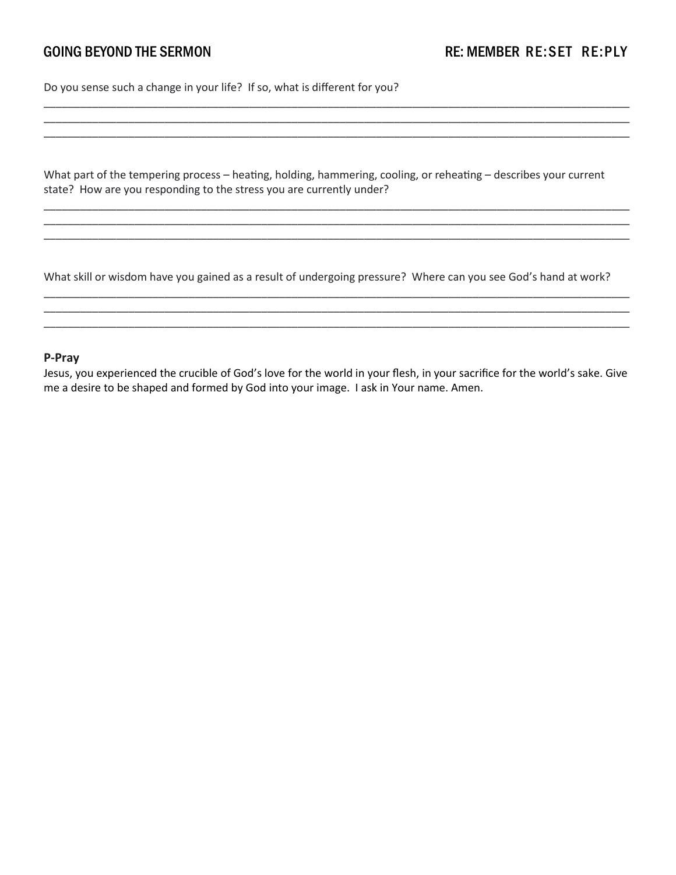Do you sense such a change in your life? If so, what is different for you?

What part of the tempering process – heating, holding, hammering, cooling, or reheating – describes your current state? How are you responding to the stress you are currently under?

\_\_\_\_\_\_\_\_\_\_\_\_\_\_\_\_\_\_\_\_\_\_\_\_\_\_\_\_\_\_\_\_\_\_\_\_\_\_\_\_\_\_\_\_\_\_\_\_\_\_\_\_\_\_\_\_\_\_\_\_\_\_\_\_\_\_\_\_\_\_\_\_\_\_\_\_\_\_\_\_\_\_\_\_\_\_\_\_\_\_\_\_\_\_\_\_\_ \_\_\_\_\_\_\_\_\_\_\_\_\_\_\_\_\_\_\_\_\_\_\_\_\_\_\_\_\_\_\_\_\_\_\_\_\_\_\_\_\_\_\_\_\_\_\_\_\_\_\_\_\_\_\_\_\_\_\_\_\_\_\_\_\_\_\_\_\_\_\_\_\_\_\_\_\_\_\_\_\_\_\_\_\_\_\_\_\_\_\_\_\_\_\_\_\_ \_\_\_\_\_\_\_\_\_\_\_\_\_\_\_\_\_\_\_\_\_\_\_\_\_\_\_\_\_\_\_\_\_\_\_\_\_\_\_\_\_\_\_\_\_\_\_\_\_\_\_\_\_\_\_\_\_\_\_\_\_\_\_\_\_\_\_\_\_\_\_\_\_\_\_\_\_\_\_\_\_\_\_\_\_\_\_\_\_\_\_\_\_\_\_\_\_

\_\_\_\_\_\_\_\_\_\_\_\_\_\_\_\_\_\_\_\_\_\_\_\_\_\_\_\_\_\_\_\_\_\_\_\_\_\_\_\_\_\_\_\_\_\_\_\_\_\_\_\_\_\_\_\_\_\_\_\_\_\_\_\_\_\_\_\_\_\_\_\_\_\_\_\_\_\_\_\_\_\_\_\_\_\_\_\_\_\_\_\_\_\_\_\_\_ \_\_\_\_\_\_\_\_\_\_\_\_\_\_\_\_\_\_\_\_\_\_\_\_\_\_\_\_\_\_\_\_\_\_\_\_\_\_\_\_\_\_\_\_\_\_\_\_\_\_\_\_\_\_\_\_\_\_\_\_\_\_\_\_\_\_\_\_\_\_\_\_\_\_\_\_\_\_\_\_\_\_\_\_\_\_\_\_\_\_\_\_\_\_\_\_\_ \_\_\_\_\_\_\_\_\_\_\_\_\_\_\_\_\_\_\_\_\_\_\_\_\_\_\_\_\_\_\_\_\_\_\_\_\_\_\_\_\_\_\_\_\_\_\_\_\_\_\_\_\_\_\_\_\_\_\_\_\_\_\_\_\_\_\_\_\_\_\_\_\_\_\_\_\_\_\_\_\_\_\_\_\_\_\_\_\_\_\_\_\_\_\_\_\_

What skill or wisdom have you gained as a result of undergoing pressure? Where can you see God's hand at work?

\_\_\_\_\_\_\_\_\_\_\_\_\_\_\_\_\_\_\_\_\_\_\_\_\_\_\_\_\_\_\_\_\_\_\_\_\_\_\_\_\_\_\_\_\_\_\_\_\_\_\_\_\_\_\_\_\_\_\_\_\_\_\_\_\_\_\_\_\_\_\_\_\_\_\_\_\_\_\_\_\_\_\_\_\_\_\_\_\_\_\_\_\_\_\_\_\_ \_\_\_\_\_\_\_\_\_\_\_\_\_\_\_\_\_\_\_\_\_\_\_\_\_\_\_\_\_\_\_\_\_\_\_\_\_\_\_\_\_\_\_\_\_\_\_\_\_\_\_\_\_\_\_\_\_\_\_\_\_\_\_\_\_\_\_\_\_\_\_\_\_\_\_\_\_\_\_\_\_\_\_\_\_\_\_\_\_\_\_\_\_\_\_\_\_ \_\_\_\_\_\_\_\_\_\_\_\_\_\_\_\_\_\_\_\_\_\_\_\_\_\_\_\_\_\_\_\_\_\_\_\_\_\_\_\_\_\_\_\_\_\_\_\_\_\_\_\_\_\_\_\_\_\_\_\_\_\_\_\_\_\_\_\_\_\_\_\_\_\_\_\_\_\_\_\_\_\_\_\_\_\_\_\_\_\_\_\_\_\_\_\_\_

#### **P-Pray**

Jesus, you experienced the crucible of God's love for the world in your flesh, in your sacrifice for the world's sake. Give me a desire to be shaped and formed by God into your image. I ask in Your name. Amen.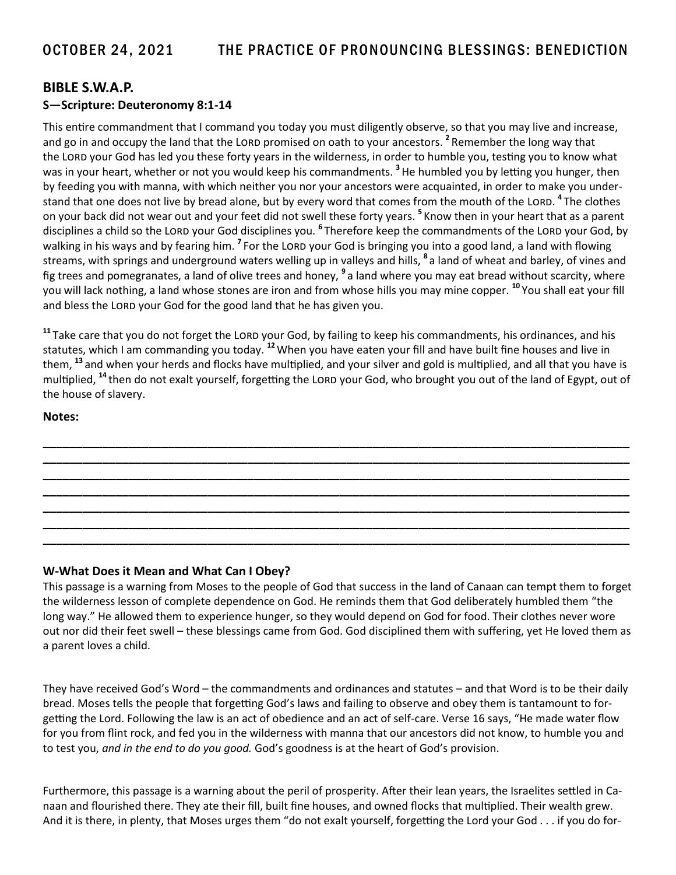### **BIBLE S.W.A.P. S—Scripture: Deuteronomy 8:1-14**

This entire commandment that I command you today you must diligently observe, so that you may live and increase, and go in and occupy the land that the LORD promised on oath to your ancestors. <sup>2</sup> Remember the long way that the LORD your God has led you these forty years in the wilderness, in order to humble you, testing you to know what was in your heart, whether or not you would keep his commandments. **<sup>3</sup>** He humbled you by letting you hunger, then by feeding you with manna, with which neither you nor your ancestors were acquainted, in order to make you understand that one does not live by bread alone, but by every word that comes from the mouth of the LORD. <sup>4</sup> The clothes on your back did not wear out and your feet did not swell these forty years. **<sup>5</sup>** Know then in your heart that as a parent disciplines a child so the LORD your God disciplines you. <sup>6</sup> Therefore keep the commandments of the LORD your God, by walking in his ways and by fearing him. <sup>7</sup> For the LORD your God is bringing you into a good land, a land with flowing streams, with springs and underground waters welling up in valleys and hills, **<sup>8</sup>** a land of wheat and barley, of vines and fig trees and pomegranates, a land of olive trees and honey, **<sup>9</sup>** a land where you may eat bread without scarcity, where you will lack nothing, a land whose stones are iron and from whose hills you may mine copper. **<sup>10</sup>** You shall eat your fill and bless the LORD your God for the good land that he has given you.

<sup>11</sup> Take care that you do not forget the LORD your God, by failing to keep his commandments, his ordinances, and his statutes, which I am commanding you today. **<sup>12</sup>**When you have eaten your fill and have built fine houses and live in them, **<sup>13</sup>** and when your herds and flocks have multiplied, and your silver and gold is multiplied, and all that you have is multiplied, <sup>14</sup> then do not exalt yourself, forgetting the LORD your God, who brought you out of the land of Egypt, out of the house of slavery.

**\_\_\_\_\_\_\_\_\_\_\_\_\_\_\_\_\_\_\_\_\_\_\_\_\_\_\_\_\_\_\_\_\_\_\_\_\_\_\_\_\_\_\_\_\_\_\_\_\_\_\_\_\_\_\_\_\_\_\_\_\_\_\_\_\_\_\_\_\_\_\_\_\_\_\_\_\_\_\_\_\_\_\_\_\_\_\_\_\_ \_\_\_\_\_\_\_\_\_\_\_\_\_\_\_\_\_\_\_\_\_\_\_\_\_\_\_\_\_\_\_\_\_\_\_\_\_\_\_\_\_\_\_\_\_\_\_\_\_\_\_\_\_\_\_\_\_\_\_\_\_\_\_\_\_\_\_\_\_\_\_\_\_\_\_\_\_\_\_\_\_\_\_\_\_\_\_\_\_ \_\_\_\_\_\_\_\_\_\_\_\_\_\_\_\_\_\_\_\_\_\_\_\_\_\_\_\_\_\_\_\_\_\_\_\_\_\_\_\_\_\_\_\_\_\_\_\_\_\_\_\_\_\_\_\_\_\_\_\_\_\_\_\_\_\_\_\_\_\_\_\_\_\_\_\_\_\_\_\_\_\_\_\_\_\_\_\_\_ \_\_\_\_\_\_\_\_\_\_\_\_\_\_\_\_\_\_\_\_\_\_\_\_\_\_\_\_\_\_\_\_\_\_\_\_\_\_\_\_\_\_\_\_\_\_\_\_\_\_\_\_\_\_\_\_\_\_\_\_\_\_\_\_\_\_\_\_\_\_\_\_\_\_\_\_\_\_\_\_\_\_\_\_\_\_\_\_\_ \_\_\_\_\_\_\_\_\_\_\_\_\_\_\_\_\_\_\_\_\_\_\_\_\_\_\_\_\_\_\_\_\_\_\_\_\_\_\_\_\_\_\_\_\_\_\_\_\_\_\_\_\_\_\_\_\_\_\_\_\_\_\_\_\_\_\_\_\_\_\_\_\_\_\_\_\_\_\_\_\_\_\_\_\_\_\_\_\_ \_\_\_\_\_\_\_\_\_\_\_\_\_\_\_\_\_\_\_\_\_\_\_\_\_\_\_\_\_\_\_\_\_\_\_\_\_\_\_\_\_\_\_\_\_\_\_\_\_\_\_\_\_\_\_\_\_\_\_\_\_\_\_\_\_\_\_\_\_\_\_\_\_\_\_\_\_\_\_\_\_\_\_\_\_\_\_\_\_ \_\_\_\_\_\_\_\_\_\_\_\_\_\_\_\_\_\_\_\_\_\_\_\_\_\_\_\_\_\_\_\_\_\_\_\_\_\_\_\_\_\_\_\_\_\_\_\_\_\_\_\_\_\_\_\_\_\_\_\_\_\_\_\_\_\_\_\_\_\_\_\_\_\_\_\_\_\_\_\_\_\_\_\_\_\_\_\_\_**

#### **Notes:**

#### **W-What Does it Mean and What Can I Obey?**

This passage is a warning from Moses to the people of God that success in the land of Canaan can tempt them to forget the wilderness lesson of complete dependence on God. He reminds them that God deliberately humbled them "the long way." He allowed them to experience hunger, so they would depend on God for food. Their clothes never wore out nor did their feet swell – these blessings came from God. God disciplined them with suffering, yet He loved them as a parent loves a child.

They have received God's Word – the commandments and ordinances and statutes – and that Word is to be their daily bread. Moses tells the people that forgetting God's laws and failing to observe and obey them is tantamount to forgetting the Lord. Following the law is an act of obedience and an act of self-care. Verse 16 says, "He made water flow for you from flint rock, and fed you in the wilderness with manna that our ancestors did not know, to humble you and to test you, *and in the end to do you good.* God's goodness is at the heart of God's provision.

Furthermore, this passage is a warning about the peril of prosperity. After their lean years, the Israelites settled in Canaan and flourished there. They ate their fill, built fine houses, and owned flocks that multiplied. Their wealth grew. And it is there, in plenty, that Moses urges them "do not exalt yourself, forgetting the Lord your God . . . if you do for-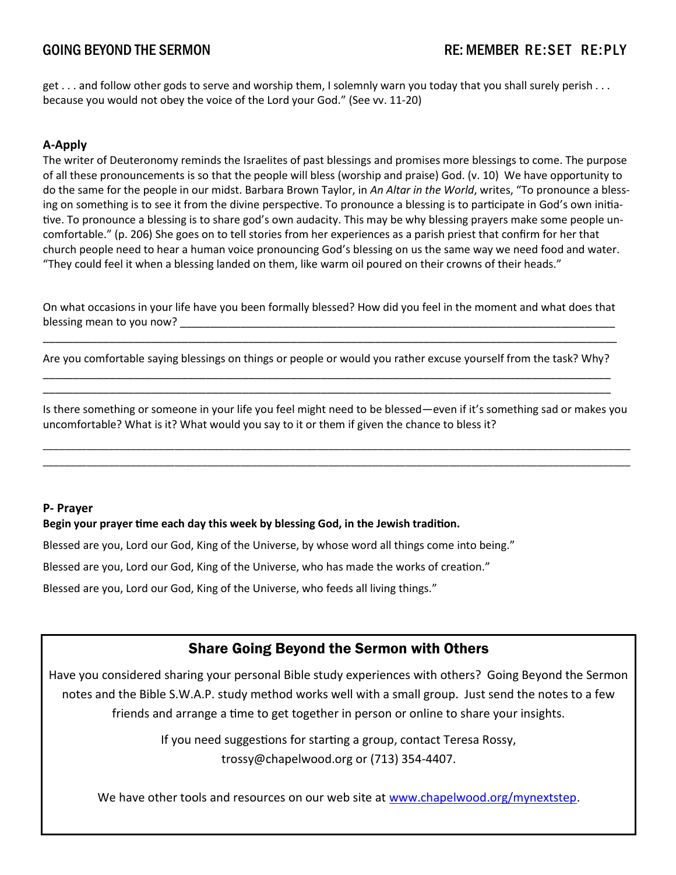get . . . and follow other gods to serve and worship them, I solemnly warn you today that you shall surely perish . . . because you would not obey the voice of the Lord your God." (See vv. 11-20)

### **A-Apply**

The writer of Deuteronomy reminds the Israelites of past blessings and promises more blessings to come. The purpose of all these pronouncements is so that the people will bless (worship and praise) God. (v. 10) We have opportunity to do the same for the people in our midst. Barbara Brown Taylor, in *An Altar in the World*, writes, "To pronounce a blessing on something is to see it from the divine perspective. To pronounce a blessing is to participate in God's own initiative. To pronounce a blessing is to share god's own audacity. This may be why blessing prayers make some people uncomfortable." (p. 206) She goes on to tell stories from her experiences as a parish priest that confirm for her that church people need to hear a human voice pronouncing God's blessing on us the same way we need food and water. "They could feel it when a blessing landed on them, like warm oil poured on their crowns of their heads."

On what occasions in your life have you been formally blessed? How did you feel in the moment and what does that blessing mean to you now?

\_\_\_\_\_\_\_\_\_\_\_\_\_\_\_\_\_\_\_\_\_\_\_\_\_\_\_\_\_\_\_\_\_\_\_\_\_\_\_\_\_\_\_\_\_\_\_\_\_\_\_\_\_\_\_\_\_\_\_\_\_\_\_\_\_\_\_\_\_\_\_\_\_\_\_\_\_\_\_\_\_\_\_\_\_\_\_\_\_\_\_\_\_\_\_ Are you comfortable saying blessings on things or people or would you rather excuse yourself from the task? Why? \_\_\_\_\_\_\_\_\_\_\_\_\_\_\_\_\_\_\_\_\_\_\_\_\_\_\_\_\_\_\_\_\_\_\_\_\_\_\_\_\_\_\_\_\_\_\_\_\_\_\_\_\_\_\_\_\_\_\_\_\_\_\_\_\_\_\_\_\_\_\_\_\_\_\_\_\_\_\_\_\_\_\_\_\_\_\_\_\_\_\_\_\_\_

\_\_\_\_\_\_\_\_\_\_\_\_\_\_\_\_\_\_\_\_\_\_\_\_\_\_\_\_\_\_\_\_\_\_\_\_\_\_\_\_\_\_\_\_\_\_\_\_\_\_\_\_\_\_\_\_\_\_\_\_\_\_\_\_\_\_\_\_\_\_\_\_\_\_\_\_\_\_\_\_\_\_\_\_\_\_\_\_\_\_\_\_\_\_

Is there something or someone in your life you feel might need to be blessed—even if it's something sad or makes you uncomfortable? What is it? What would you say to it or them if given the chance to bless it?

\_\_\_\_\_\_\_\_\_\_\_\_\_\_\_\_\_\_\_\_\_\_\_\_\_\_\_\_\_\_\_\_\_\_\_\_\_\_\_\_\_\_\_\_\_\_\_\_\_\_\_\_\_\_\_\_\_\_\_\_\_\_\_\_\_\_\_\_\_\_\_\_\_\_\_\_\_\_\_\_\_\_\_\_\_\_\_\_\_\_\_\_\_\_\_\_\_\_\_\_\_\_\_\_\_\_\_ \_\_\_\_\_\_\_\_\_\_\_\_\_\_\_\_\_\_\_\_\_\_\_\_\_\_\_\_\_\_\_\_\_\_\_\_\_\_\_\_\_\_\_\_\_\_\_\_\_\_\_\_\_\_\_\_\_\_\_\_\_\_\_\_\_\_\_\_\_\_\_\_\_\_\_\_\_\_\_\_\_\_\_\_\_\_\_\_\_\_\_\_\_\_\_\_\_\_\_\_\_\_\_\_\_\_\_

#### **P- Prayer**

#### **Begin your prayer time each day this week by blessing God, in the Jewish tradition.**

Blessed are you, Lord our God, King of the Universe, by whose word all things come into being."

Blessed are you, Lord our God, King of the Universe, who has made the works of creation."

Blessed are you, Lord our God, King of the Universe, who feeds all living things."

## Share Going Beyond the Sermon with Others

Have you considered sharing your personal Bible study experiences with others? Going Beyond the Sermon notes and the Bible S.W.A.P. study method works well with a small group. Just send the notes to a few friends and arrange a time to get together in person or online to share your insights.

> If you need suggestions for starting a group, contact Teresa Rossy, trossy@chapelwood.org or (713) 354-4407.

We have other tools and resources on our web site at [www.chapelwood.org/mynextstep.](https://www.chapelwood.org/sanctuary/mynextstep/)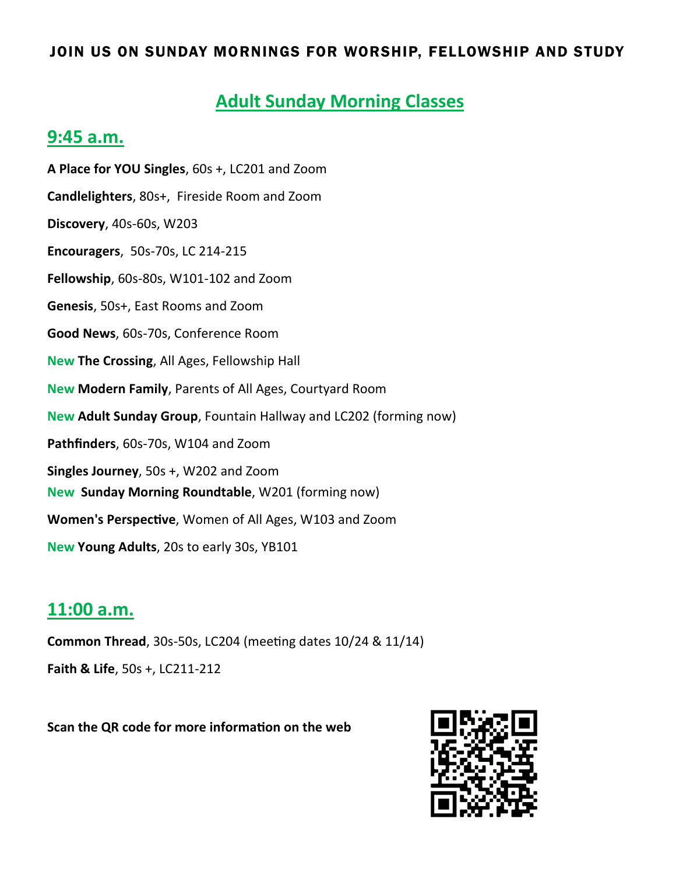## JOIN US ON SUNDAY MORNINGS FOR WORSHIP, FELLOWSHIP AND STUDY

## **Adult Sunday Morning Classes**

## **9:45 a.m.**

**A Place for YOU Singles**, 60s +, LC201 and Zoom **Candlelighters**, 80s+, Fireside Room and Zoom **Discovery**, 40s-60s, W203 **Encouragers**, 50s-70s, LC 214-215 **Fellowship**, 60s-80s, W101-102 and Zoom **Genesis**, 50s+, East Rooms and Zoom **Good News**, 60s-70s, Conference Room **New The Crossing**, All Ages, Fellowship Hall **New Modern Family**, Parents of All Ages, Courtyard Room **New Adult Sunday Group**, Fountain Hallway and LC202 (forming now) **Pathfinders**, 60s-70s, W104 and Zoom **Singles Journey**, 50s +, W202 and Zoom **New Sunday Morning Roundtable**, W201 (forming now) **Women's Perspective**, Women of All Ages, W103 and Zoom **New Young Adults**, 20s to early 30s, YB101

## **11:00 a.m.**

**Common Thread**, 30s-50s, LC204 (meeting dates 10/24 & 11/14) **Faith & Life**, 50s +, LC211-212

**Scan the QR code for more information on the web**

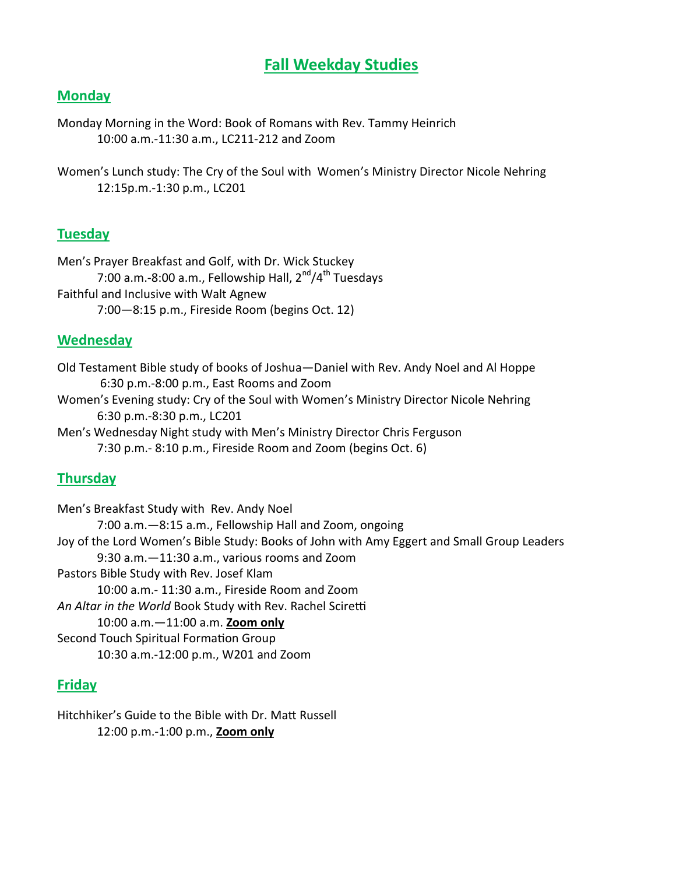## **Fall Weekday Studies**

## **Monday**

Monday Morning in the Word: Book of Romans with Rev. Tammy Heinrich 10:00 a.m.-11:30 a.m., LC211-212 and Zoom

Women's Lunch study: The Cry of the Soul with Women's Ministry Director Nicole Nehring 12:15p.m.-1:30 p.m., LC201

## **Tuesday**

Men's Prayer Breakfast and Golf, with Dr. Wick Stuckey 7:00 a.m.-8:00 a.m., Fellowship Hall,  $2^{nd}/4^{th}$  Tuesdays Faithful and Inclusive with Walt Agnew 7:00—8:15 p.m., Fireside Room (begins Oct. 12)

## **Wednesday**

Old Testament Bible study of books of Joshua—Daniel with Rev. Andy Noel and Al Hoppe 6:30 p.m.-8:00 p.m., East Rooms and Zoom

Women's Evening study: Cry of the Soul with Women's Ministry Director Nicole Nehring 6:30 p.m.-8:30 p.m., LC201

Men's Wednesday Night study with Men's Ministry Director Chris Ferguson 7:30 p.m.- 8:10 p.m., Fireside Room and Zoom (begins Oct. 6)

## **Thursday**

Men's Breakfast Study with Rev. Andy Noel 7:00 a.m.—8:15 a.m., Fellowship Hall and Zoom, ongoing Joy of the Lord Women's Bible Study: Books of John with Amy Eggert and Small Group Leaders 9:30 a.m.—11:30 a.m., various rooms and Zoom Pastors Bible Study with Rev. Josef Klam 10:00 a.m.- 11:30 a.m., Fireside Room and Zoom *An Altar in the World* Book Study with Rev. Rachel Sciretti 10:00 a.m.—11:00 a.m. **Zoom only** Second Touch Spiritual Formation Group 10:30 a.m.-12:00 p.m., W201 and Zoom

## **Friday**

Hitchhiker's Guide to the Bible with Dr. Matt Russell 12:00 p.m.-1:00 p.m., **Zoom only**